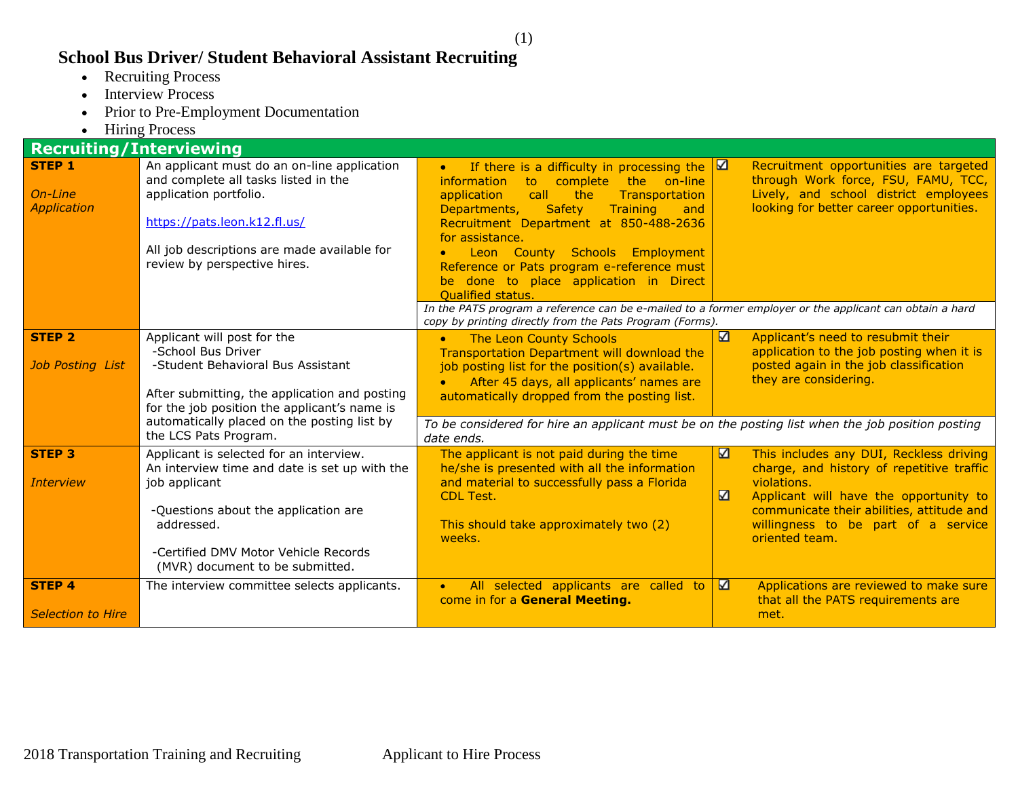## **School Bus Driver/ Student Behavioral Assistant Recruiting**

- Recruiting Process
- Interview Process
- Prior to Pre-Employment Documentation
- Hiring Process

| <b>Recruiting/Interviewing</b>                 |                                                                                                                                                                                                                                            |                                                                                                                                                                                                                                                                                                                                                                                                                                        |                              |                                                                                                                                                                                                                                                     |  |
|------------------------------------------------|--------------------------------------------------------------------------------------------------------------------------------------------------------------------------------------------------------------------------------------------|----------------------------------------------------------------------------------------------------------------------------------------------------------------------------------------------------------------------------------------------------------------------------------------------------------------------------------------------------------------------------------------------------------------------------------------|------------------------------|-----------------------------------------------------------------------------------------------------------------------------------------------------------------------------------------------------------------------------------------------------|--|
| <b>STEP 1</b><br>On-Line<br><b>Application</b> | An applicant must do an on-line application<br>and complete all tasks listed in the<br>application portfolio.<br>https://pats.leon.k12.fl.us/<br>All job descriptions are made available for<br>review by perspective hires.               | If there is a difficulty in processing the<br>$\bullet$<br>the on-line<br><i>information</i><br>to.<br>complete<br>call<br>application<br>the<br>Transportation<br><b>Safety</b><br>Departments,<br>Training<br>and<br>Recruitment Department at 850-488-2636<br>for assistance.<br>Leon County Schools Employment<br>Reference or Pats program e-reference must<br>be done to place application in Direct<br><b>Qualified status.</b> | $\blacksquare$               | Recruitment opportunities are targeted<br>through Work force, FSU, FAMU, TCC,<br>Lively, and school district employees<br>looking for better career opportunities.                                                                                  |  |
|                                                |                                                                                                                                                                                                                                            | In the PATS program a reference can be e-mailed to a former employer or the applicant can obtain a hard<br>copy by printing directly from the Pats Program (Forms).                                                                                                                                                                                                                                                                    |                              |                                                                                                                                                                                                                                                     |  |
| <b>STEP 2</b><br><b>Job Posting List</b>       | Applicant will post for the<br>-School Bus Driver<br>-Student Behavioral Bus Assistant<br>After submitting, the application and posting<br>for the job position the applicant's name is                                                    | The Leon County Schools<br>$\bullet$<br><b>Transportation Department will download the</b><br>job posting list for the position(s) available.<br>After 45 days, all applicants' names are<br>automatically dropped from the posting list.                                                                                                                                                                                              | $\Delta$                     | Applicant's need to resubmit their<br>application to the job posting when it is<br>posted again in the job classification<br>they are considering.                                                                                                  |  |
|                                                | automatically placed on the posting list by<br>the LCS Pats Program.                                                                                                                                                                       | To be considered for hire an applicant must be on the posting list when the job position posting<br>date ends.                                                                                                                                                                                                                                                                                                                         |                              |                                                                                                                                                                                                                                                     |  |
| <b>STEP 3</b><br><b>Interview</b>              | Applicant is selected for an interview.<br>An interview time and date is set up with the<br>job applicant<br>-Questions about the application are<br>addressed.<br>-Certified DMV Motor Vehicle Records<br>(MVR) document to be submitted. | The applicant is not paid during the time<br>he/she is presented with all the information<br>and material to successfully pass a Florida<br><b>CDL Test.</b><br>This should take approximately two (2)<br>weeks.                                                                                                                                                                                                                       | N<br>$\overline{\mathbf{z}}$ | This includes any DUI, Reckless driving<br>charge, and history of repetitive traffic<br>violations.<br>Applicant will have the opportunity to<br>communicate their abilities, attitude and<br>willingness to be part of a service<br>oriented team. |  |
| <b>STEP 4</b><br><b>Selection to Hire</b>      | The interview committee selects applicants.                                                                                                                                                                                                | All selected applicants are called to<br>come in for a General Meeting.                                                                                                                                                                                                                                                                                                                                                                | N                            | Applications are reviewed to make sure<br>that all the PATS requirements are<br>met.                                                                                                                                                                |  |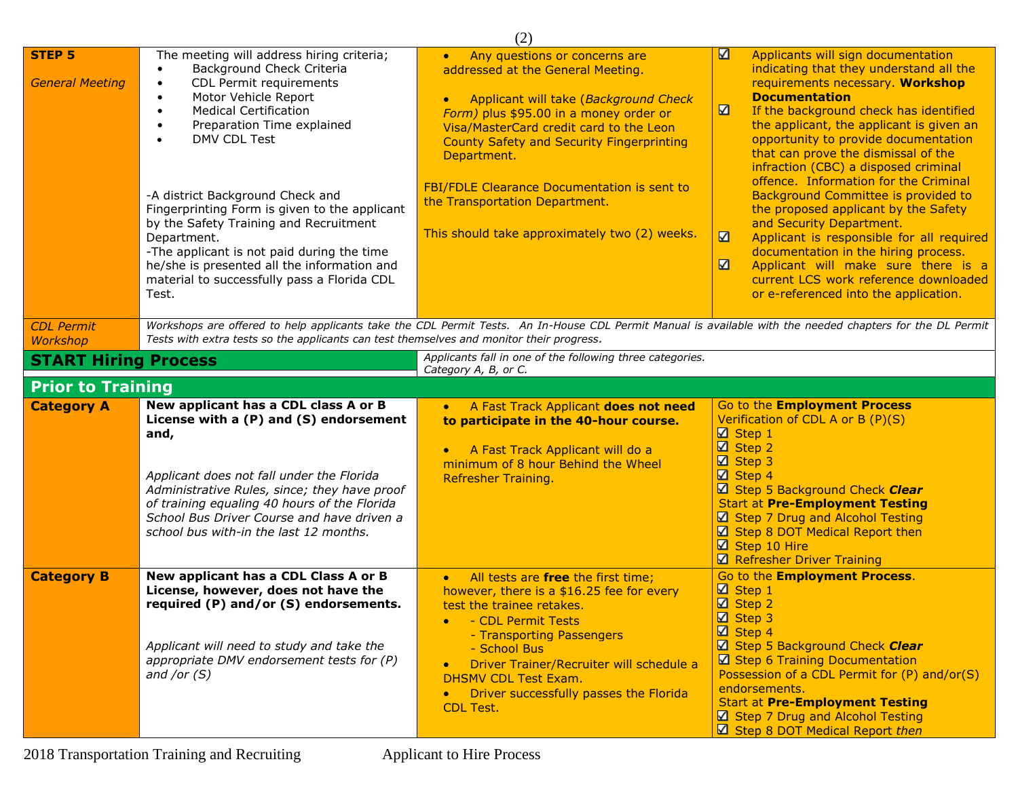|                                         |                                                                                                                                                                                                                                                                                                                                                                                                                                                                                                            | (2)                                                                                                                                                                                                                                                                                                                                                                                                                             |                                                                                                                                                                                                                                                                                                                                                                                                                                                                                                                                                                                                                                                                                                                                                            |  |  |
|-----------------------------------------|------------------------------------------------------------------------------------------------------------------------------------------------------------------------------------------------------------------------------------------------------------------------------------------------------------------------------------------------------------------------------------------------------------------------------------------------------------------------------------------------------------|---------------------------------------------------------------------------------------------------------------------------------------------------------------------------------------------------------------------------------------------------------------------------------------------------------------------------------------------------------------------------------------------------------------------------------|------------------------------------------------------------------------------------------------------------------------------------------------------------------------------------------------------------------------------------------------------------------------------------------------------------------------------------------------------------------------------------------------------------------------------------------------------------------------------------------------------------------------------------------------------------------------------------------------------------------------------------------------------------------------------------------------------------------------------------------------------------|--|--|
| <b>STEP 5</b><br><b>General Meeting</b> | The meeting will address hiring criteria;<br>Background Check Criteria<br>CDL Permit requirements<br>Motor Vehicle Report<br><b>Medical Certification</b><br>Preparation Time explained<br>DMV CDL Test<br>-A district Background Check and<br>Fingerprinting Form is given to the applicant<br>by the Safety Training and Recruitment<br>Department.<br>-The applicant is not paid during the time<br>he/she is presented all the information and<br>material to successfully pass a Florida CDL<br>Test. | Any questions or concerns are<br>$\bullet$<br>addressed at the General Meeting.<br>Applicant will take (Background Check<br>$\bullet$<br>Form) plus \$95.00 in a money order or<br>Visa/MasterCard credit card to the Leon<br><b>County Safety and Security Fingerprinting</b><br>Department.<br>FBI/FDLE Clearance Documentation is sent to<br>the Transportation Department.<br>This should take approximately two (2) weeks. | $\Delta$<br>Applicants will sign documentation<br>indicating that they understand all the<br>requirements necessary. Workshop<br><b>Documentation</b><br>N<br>If the background check has identified<br>the applicant, the applicant is given an<br>opportunity to provide documentation<br>that can prove the dismissal of the<br>infraction (CBC) a disposed criminal<br>offence. Information for the Criminal<br>Background Committee is provided to<br>the proposed applicant by the Safety<br>and Security Department.<br>N<br>Applicant is responsible for all required<br>documentation in the hiring process.<br>$\Delta$<br>Applicant will make sure there is a<br>current LCS work reference downloaded<br>or e-referenced into the application. |  |  |
| <b>CDL Permit</b><br>Workshop           | Workshops are offered to help applicants take the CDL Permit Tests. An In-House CDL Permit Manual is available with the needed chapters for the DL Permit<br>Tests with extra tests so the applicants can test themselves and monitor their progress.<br>Applicants fall in one of the following three categories.                                                                                                                                                                                         |                                                                                                                                                                                                                                                                                                                                                                                                                                 |                                                                                                                                                                                                                                                                                                                                                                                                                                                                                                                                                                                                                                                                                                                                                            |  |  |
| <b>START Hiring Process</b>             |                                                                                                                                                                                                                                                                                                                                                                                                                                                                                                            | Category A, B, or C.                                                                                                                                                                                                                                                                                                                                                                                                            |                                                                                                                                                                                                                                                                                                                                                                                                                                                                                                                                                                                                                                                                                                                                                            |  |  |
| <b>Prior to Training</b>                |                                                                                                                                                                                                                                                                                                                                                                                                                                                                                                            |                                                                                                                                                                                                                                                                                                                                                                                                                                 |                                                                                                                                                                                                                                                                                                                                                                                                                                                                                                                                                                                                                                                                                                                                                            |  |  |
| <b>Category A</b>                       | New applicant has a CDL class A or B<br>License with a (P) and (S) endorsement<br>and,<br>Applicant does not fall under the Florida<br>Administrative Rules, since; they have proof<br>of training equaling 40 hours of the Florida<br>School Bus Driver Course and have driven a<br>school bus with-in the last 12 months.                                                                                                                                                                                | A Fast Track Applicant does not need<br>$\bullet$<br>to participate in the 40-hour course.<br>A Fast Track Applicant will do a<br>$\bullet$<br>minimum of 8 hour Behind the Wheel<br><b>Refresher Training.</b>                                                                                                                                                                                                                 | Go to the <b>Employment Process</b><br>Verification of CDL A or B (P)(S)<br>$\boxtimes$ Step 1<br>$\boxtimes$ Step 2<br>$\boxtimes$ Step 3<br>$\boxtimes$ Step 4<br>Step 5 Background Check Clear<br><b>Start at Pre-Employment Testing</b><br>Step 7 Drug and Alcohol Testing<br>$\boxtimes$ Step 8 DOT Medical Report then<br>Step 10 Hire<br>Refresher Driver Training                                                                                                                                                                                                                                                                                                                                                                                  |  |  |
| <b>Category B</b>                       | New applicant has a CDL Class A or B<br>License, however, does not have the<br>required (P) and/or (S) endorsements.<br>Applicant will need to study and take the<br>appropriate DMV endorsement tests for (P)<br>and /or $(S)$                                                                                                                                                                                                                                                                            | All tests are free the first time;<br>$\bullet$<br>however, there is a \$16.25 fee for every<br>test the trainee retakes.<br>- CDL Permit Tests<br>$\bullet$<br>- Transporting Passengers<br>- School Bus<br>Driver Trainer/Recruiter will schedule a<br>$\bullet$<br><b>DHSMV CDL Test Exam.</b><br>Driver successfully passes the Florida<br>$\bullet$<br><b>CDL Test.</b>                                                    | Go to the Employment Process.<br>$\boxtimes$ Step 1<br><b>Ø</b> Step 2<br>⊠ Step 3<br>$\boxtimes$ Step 4<br>Step 5 Background Check Clear<br>$\boxtimes$ Step 6 Training Documentation<br>Possession of a CDL Permit for (P) and/or(S)<br>endorsements.<br><b>Start at Pre-Employment Testing</b><br>Step 7 Drug and Alcohol Testing<br>Step 8 DOT Medical Report then                                                                                                                                                                                                                                                                                                                                                                                     |  |  |

2018 Transportation Training and Recruiting Applicant to Hire Process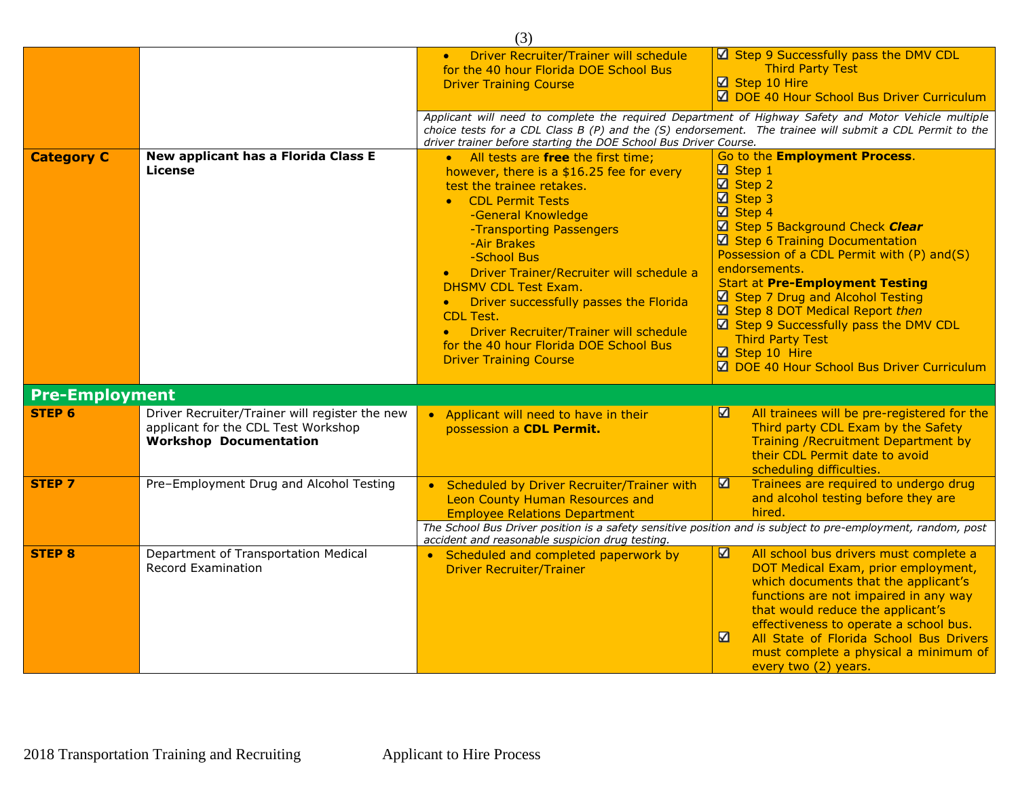| (3)                   |                                                                                                                        |                                                                                                                                                                                                                                                                                                                                                                                                                                                                                                                           |                                                                                                                                                                                                                                                                                                                                                                                                                                                                                                                                         |  |  |
|-----------------------|------------------------------------------------------------------------------------------------------------------------|---------------------------------------------------------------------------------------------------------------------------------------------------------------------------------------------------------------------------------------------------------------------------------------------------------------------------------------------------------------------------------------------------------------------------------------------------------------------------------------------------------------------------|-----------------------------------------------------------------------------------------------------------------------------------------------------------------------------------------------------------------------------------------------------------------------------------------------------------------------------------------------------------------------------------------------------------------------------------------------------------------------------------------------------------------------------------------|--|--|
|                       |                                                                                                                        | Driver Recruiter/Trainer will schedule<br>for the 40 hour Florida DOE School Bus<br><b>Driver Training Course</b>                                                                                                                                                                                                                                                                                                                                                                                                         | $\boxtimes$ Step 9 Successfully pass the DMV CDL<br><b>Third Party Test</b><br>Step 10 Hire<br>DOE 40 Hour School Bus Driver Curriculum                                                                                                                                                                                                                                                                                                                                                                                                 |  |  |
|                       |                                                                                                                        | Applicant will need to complete the required Department of Highway Safety and Motor Vehicle multiple<br>choice tests for a CDL Class B (P) and the (S) endorsement. The trainee will submit a CDL Permit to the<br>driver trainer before starting the DOE School Bus Driver Course.                                                                                                                                                                                                                                       |                                                                                                                                                                                                                                                                                                                                                                                                                                                                                                                                         |  |  |
| <b>Category C</b>     | New applicant has a Florida Class E<br>License                                                                         | • All tests are free the first time;<br>however, there is a \$16.25 fee for every<br>test the trainee retakes.<br>• CDL Permit Tests<br>-General Knowledge<br>-Transporting Passengers<br>-Air Brakes<br>-School Bus<br>Driver Trainer/Recruiter will schedule a<br>$\bullet$<br><b>DHSMV CDL Test Exam.</b><br>Driver successfully passes the Florida<br>$\bullet$<br><b>CDL Test.</b><br>Driver Recruiter/Trainer will schedule<br>$\bullet$<br>for the 40 hour Florida DOE School Bus<br><b>Driver Training Course</b> | Go to the <b>Employment Process</b> .<br>$\boxtimes$ Step 1<br>$\boxtimes$ Step 2<br>$\boxtimes$ Step 3<br>$\sqrt{2}$ Step 4<br>Step 5 Background Check Clear<br>Step 6 Training Documentation<br>Possession of a CDL Permit with (P) and(S)<br>endorsements.<br><b>Start at Pre-Employment Testing</b><br>☑ Step 7 Drug and Alcohol Testing<br>$\boxtimes$ Step 8 DOT Medical Report then<br>$\boxtimes$ Step 9 Successfully pass the DMV CDL<br><b>Third Party Test</b><br>Step 10 Hire<br>☑ DOE 40 Hour School Bus Driver Curriculum |  |  |
| <b>Pre-Employment</b> |                                                                                                                        |                                                                                                                                                                                                                                                                                                                                                                                                                                                                                                                           |                                                                                                                                                                                                                                                                                                                                                                                                                                                                                                                                         |  |  |
| STEP 6                | Driver Recruiter/Trainer will register the new<br>applicant for the CDL Test Workshop<br><b>Workshop Documentation</b> | • Applicant will need to have in their<br>possession a CDL Permit.                                                                                                                                                                                                                                                                                                                                                                                                                                                        | ☑<br>All trainees will be pre-registered for the<br>Third party CDL Exam by the Safety<br>Training / Recruitment Department by<br>their CDL Permit date to avoid<br>scheduling difficulties.                                                                                                                                                                                                                                                                                                                                            |  |  |
| <b>STEP 7</b>         | Pre-Employment Drug and Alcohol Testing                                                                                | Scheduled by Driver Recruiter/Trainer with<br>Leon County Human Resources and<br><b>Employee Relations Department</b>                                                                                                                                                                                                                                                                                                                                                                                                     | N<br>Trainees are required to undergo drug<br>and alcohol testing before they are<br>hired.                                                                                                                                                                                                                                                                                                                                                                                                                                             |  |  |
|                       |                                                                                                                        | The School Bus Driver position is a safety sensitive position and is subject to pre-employment, random, post<br>accident and reasonable suspicion drug testing.                                                                                                                                                                                                                                                                                                                                                           |                                                                                                                                                                                                                                                                                                                                                                                                                                                                                                                                         |  |  |
| <b>STEP 8</b>         | Department of Transportation Medical<br>Record Examination                                                             | Scheduled and completed paperwork by<br><b>Driver Recruiter/Trainer</b>                                                                                                                                                                                                                                                                                                                                                                                                                                                   | N<br>All school bus drivers must complete a<br>DOT Medical Exam, prior employment,<br>which documents that the applicant's<br>functions are not impaired in any way<br>that would reduce the applicant's<br>effectiveness to operate a school bus.<br>K<br>All State of Florida School Bus Drivers<br>must complete a physical a minimum of<br>every two (2) years.                                                                                                                                                                     |  |  |